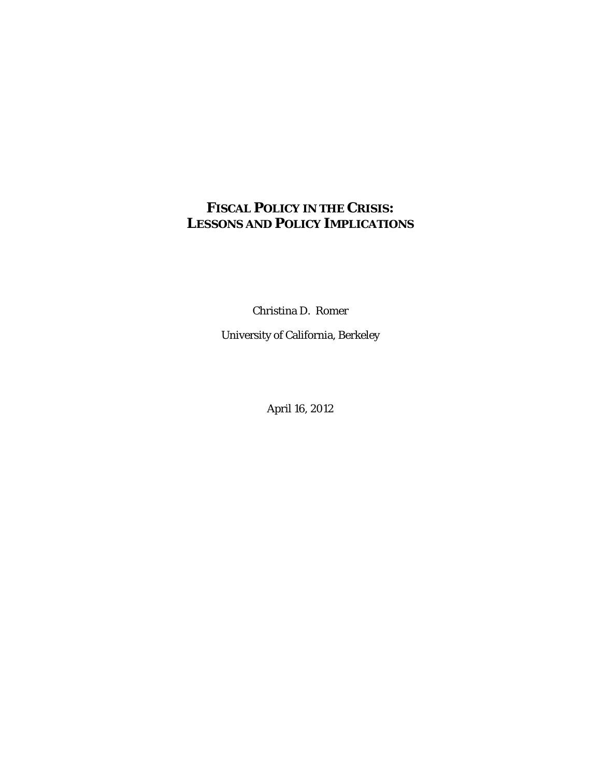# **FISCAL POLICY IN THE CRISIS: LESSONS AND POLICY IMPLICATIONS**

Christina D. Romer

University of California, Berkeley

April 16, 2012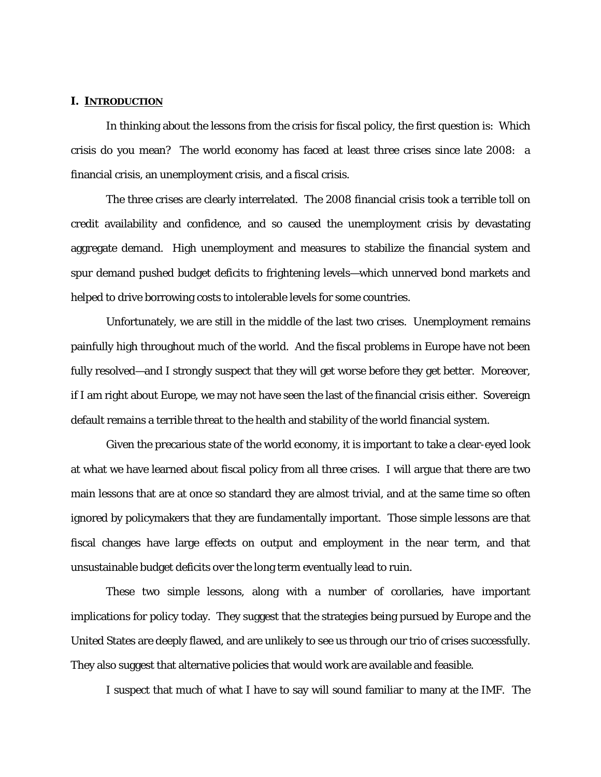### **I. INTRODUCTION**

In thinking about the lessons from the crisis for fiscal policy, the first question is: Which crisis do you mean? The world economy has faced at least three crises since late 2008: a financial crisis, an unemployment crisis, and a fiscal crisis.

The three crises are clearly interrelated. The 2008 financial crisis took a terrible toll on credit availability and confidence, and so caused the unemployment crisis by devastating aggregate demand. High unemployment and measures to stabilize the financial system and spur demand pushed budget deficits to frightening levels—which unnerved bond markets and helped to drive borrowing costs to intolerable levels for some countries.

Unfortunately, we are still in the middle of the last two crises. Unemployment remains painfully high throughout much of the world. And the fiscal problems in Europe have not been fully resolved—and I strongly suspect that they will get worse before they get better. Moreover, if I am right about Europe, we may not have seen the last of the financial crisis either. Sovereign default remains a terrible threat to the health and stability of the world financial system.

Given the precarious state of the world economy, it is important to take a clear-eyed look at what we have learned about fiscal policy from all three crises. I will argue that there are two main lessons that are at once so standard they are almost trivial, and at the same time so often ignored by policymakers that they are fundamentally important. Those simple lessons are that fiscal changes have large effects on output and employment in the near term, and that unsustainable budget deficits over the long term eventually lead to ruin.

These two simple lessons, along with a number of corollaries, have important implications for policy today. They suggest that the strategies being pursued by Europe and the United States are deeply flawed, and are unlikely to see us through our trio of crises successfully. They also suggest that alternative policies that would work are available and feasible.

I suspect that much of what I have to say will sound familiar to many at the IMF. The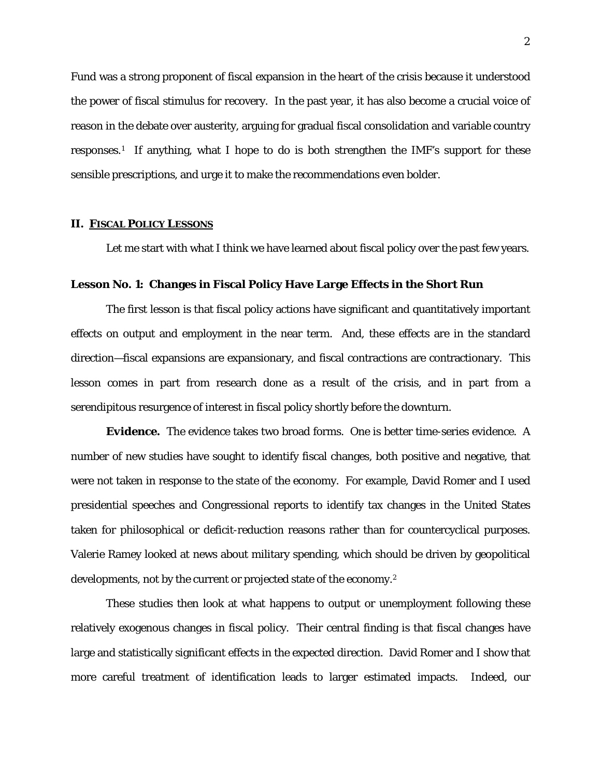Fund was a strong proponent of fiscal expansion in the heart of the crisis because it understood the power of fiscal stimulus for recovery. In the past year, it has also become a crucial voice of reason in the debate over austerity, arguing for gradual fiscal consolidation and variable country responses.[1](#page-27-0) If anything, what I hope to do is both strengthen the IMF's support for these sensible prescriptions, and urge it to make the recommendations even bolder.

### **II. FISCAL POLICY LESSONS**

Let me start with what I think we have learned about fiscal policy over the past few years.

### **Lesson No. 1: Changes in Fiscal Policy Have Large Effects in the Short Run**

The first lesson is that fiscal policy actions have significant and quantitatively important effects on output and employment in the near term. And, these effects are in the standard direction—fiscal expansions are expansionary, and fiscal contractions are contractionary. This lesson comes in part from research done as a result of the crisis, and in part from a serendipitous resurgence of interest in fiscal policy shortly before the downturn.

*Evidence***.** The evidence takes two broad forms. One is better time-series evidence. A number of new studies have sought to identify fiscal changes, both positive and negative, that were not taken in response to the state of the economy. For example, David Romer and I used presidential speeches and Congressional reports to identify tax changes in the United States taken for philosophical or deficit-reduction reasons rather than for countercyclical purposes. Valerie Ramey looked at news about military spending, which should be driven by geopolitical developments, not by the current or projected state of the economy.[2](#page-27-1)

These studies then look at what happens to output or unemployment following these relatively exogenous changes in fiscal policy. Their central finding is that fiscal changes have large and statistically significant effects in the expected direction. David Romer and I show that more careful treatment of identification leads to larger estimated impacts. Indeed, our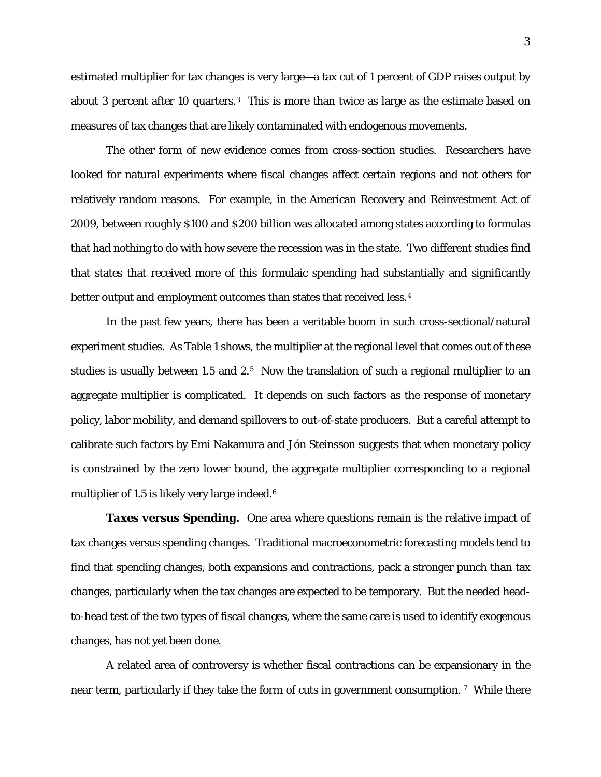estimated multiplier for tax changes is very large—a tax cut of 1 percent of GDP raises output by about [3](#page-27-2) percent after 10 quarters.<sup>3</sup> This is more than twice as large as the estimate based on measures of tax changes that are likely contaminated with endogenous movements.

The other form of new evidence comes from cross-section studies. Researchers have looked for natural experiments where fiscal changes affect certain regions and not others for relatively random reasons. For example, in the American Recovery and Reinvestment Act of 2009, between roughly \$100 and \$200 billion was allocated among states according to formulas that had nothing to do with how severe the recession was in the state. Two different studies find that states that received more of this formulaic spending had substantially and significantly better output and employment outcomes than states that received less. [4](#page-27-3)

In the past few years, there has been a veritable boom in such cross-sectional/natural experiment studies. As Table 1 shows, the multiplier at the regional level that comes out of these studies is usually between 1.[5](#page-27-4) and 2.<sup>5</sup> Now the translation of such a regional multiplier to an aggregate multiplier is complicated. It depends on such factors as the response of monetary policy, labor mobility, and demand spillovers to out-of-state producers. But a careful attempt to calibrate such factors by Emi Nakamura and Jón Steinsson suggests that when monetary policy is constrained by the zero lower bound, the aggregate multiplier corresponding to a regional multiplier of 1.5 is likely very large indeed.<sup>[6](#page-27-5)</sup>

*Taxes versus Spending***.** One area where questions remain is the relative impact of tax changes versus spending changes. Traditional macroeconometric forecasting models tend to find that spending changes, both expansions and contractions, pack a stronger punch than tax changes, particularly when the tax changes are expected to be temporary. But the needed headto-head test of the two types of fiscal changes, where the same care is used to identify exogenous changes, has not yet been done.

A related area of controversy is whether fiscal contractions can be expansionary in the near term, particularly if they take the form of cuts in government consumption.<sup>[7](#page-27-6)</sup> While there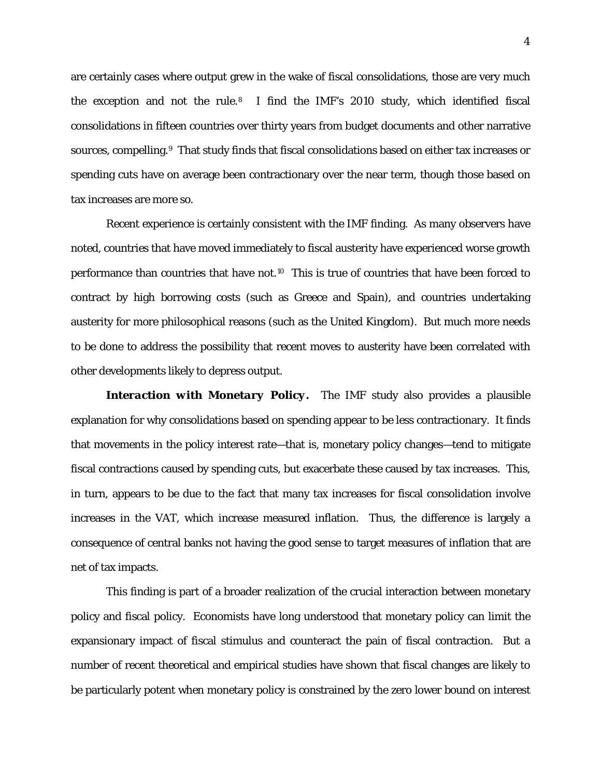are certainly cases where output grew in the wake of fiscal consolidations, those are very much the exception and not the rule.[8](#page-27-7) I find the IMF's 2010 study, which identified fiscal consolidations in fifteen countries over thirty years from budget documents and other narrative sources, compelling.<sup>[9](#page-27-8)</sup> That study finds that fiscal consolidations based on either tax increases or spending cuts have on average been contractionary over the near term, though those based on tax increases are more so.

Recent experience is certainly consistent with the IMF finding. As many observers have noted, countries that have moved immediately to fiscal austerity have experienced worse growth performance than countries that have not. [10](#page-27-9) This is true of countries that have been forced to contract by high borrowing costs (such as Greece and Spain), and countries undertaking austerity for more philosophical reasons (such as the United Kingdom). But much more needs to be done to address the possibility that recent moves to austerity have been correlated with other developments likely to depress output.

*Interaction with Monetary Policy.* The IMF study also provides a plausible explanation for why consolidations based on spending appear to be less contractionary. It finds that movements in the policy interest rate—that is, monetary policy changes—tend to mitigate fiscal contractions caused by spending cuts, but exacerbate these caused by tax increases. This, in turn, appears to be due to the fact that many tax increases for fiscal consolidation involve increases in the VAT, which increase measured inflation. Thus, the difference is largely a consequence of central banks not having the good sense to target measures of inflation that are net of tax impacts.

This finding is part of a broader realization of the crucial interaction between monetary policy and fiscal policy. Economists have long understood that monetary policy can limit the expansionary impact of fiscal stimulus and counteract the pain of fiscal contraction. But a number of recent theoretical and empirical studies have shown that fiscal changes are likely to be particularly potent when monetary policy is constrained by the zero lower bound on interest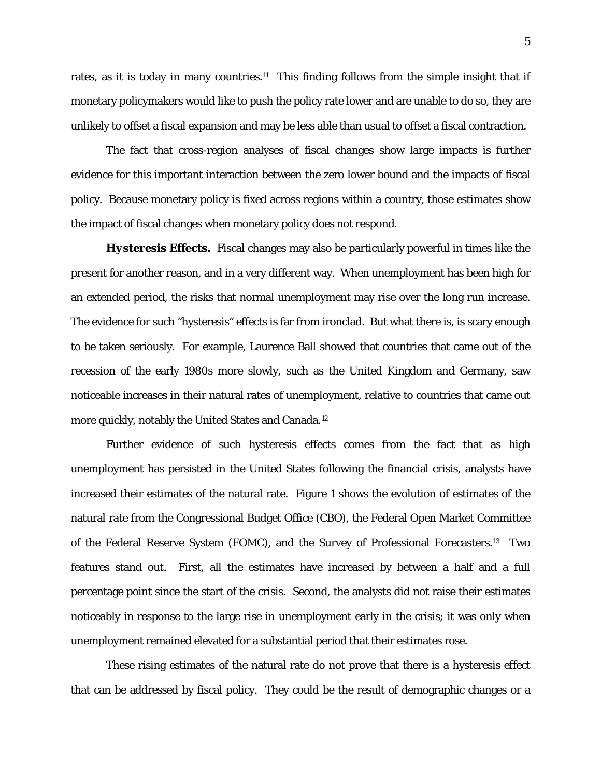rates, as it is today in many countries.<sup>[11](#page-27-10)</sup> This finding follows from the simple insight that if monetary policymakers would like to push the policy rate lower and are unable to do so, they are unlikely to offset a fiscal expansion and may be less able than usual to offset a fiscal contraction.

The fact that cross-region analyses of fiscal changes show large impacts is further evidence for this important interaction between the zero lower bound and the impacts of fiscal policy. Because monetary policy is fixed across regions within a country, those estimates show the impact of fiscal changes when monetary policy does not respond.

*Hysteresis Effects.* Fiscal changes may also be particularly powerful in times like the present for another reason, and in a very different way. When unemployment has been high for an extended period, the risks that normal unemployment may rise over the long run increase. The evidence for such "hysteresis" effects is far from ironclad. But what there is, is scary enough to be taken seriously. For example, Laurence Ball showed that countries that came out of the recession of the early 1980s more slowly, such as the United Kingdom and Germany, saw noticeable increases in their natural rates of unemployment, relative to countries that came out more quickly, notably the United States and Canada.[12](#page-27-11)

Further evidence of such hysteresis effects comes from the fact that as high unemployment has persisted in the United States following the financial crisis, analysts have increased their estimates of the natural rate. Figure 1 shows the evolution of estimates of the natural rate from the Congressional Budget Office (CBO), the Federal Open Market Committee of the Federal Reserve System (FOMC), and the Survey of Professional Forecasters.<sup>[13](#page-27-12)</sup> Two features stand out. First, all the estimates have increased by between a half and a full percentage point since the start of the crisis. Second, the analysts did not raise their estimates noticeably in response to the large rise in unemployment early in the crisis; it was only when unemployment remained elevated for a substantial period that their estimates rose.

These rising estimates of the natural rate do not prove that there is a hysteresis effect that can be addressed by fiscal policy. They could be the result of demographic changes or a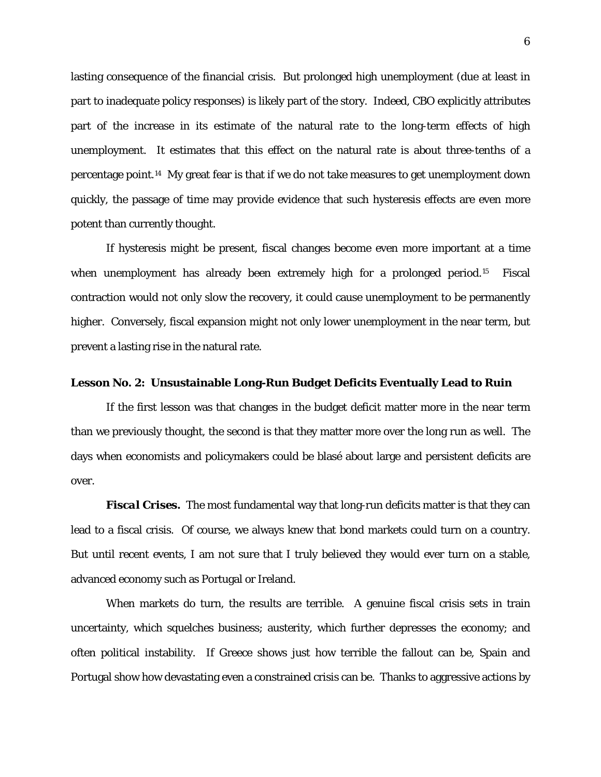lasting consequence of the financial crisis. But prolonged high unemployment (due at least in part to inadequate policy responses) is likely part of the story. Indeed, CBO explicitly attributes part of the increase in its estimate of the natural rate to the long-term effects of high unemployment. It estimates that this effect on the natural rate is about three-tenths of a percentage point.[14](#page-27-13) My great fear is that if we do not take measures to get unemployment down quickly, the passage of time may provide evidence that such hysteresis effects are even more potent than currently thought.

If hysteresis might be present, fiscal changes become even more important at a time when unemployment has already been extremely high for a prolonged period.<sup>[15](#page-27-14)</sup> Fiscal contraction would not only slow the recovery, it could cause unemployment to be permanently higher. Conversely, fiscal expansion might not only lower unemployment in the near term, but prevent a lasting rise in the natural rate.

### **Lesson No. 2: Unsustainable Long-Run Budget Deficits Eventually Lead to Ruin**

If the first lesson was that changes in the budget deficit matter more in the near term than we previously thought, the second is that they matter more over the long run as well. The days when economists and policymakers could be blasé about large and persistent deficits are over.

*Fiscal Crises.* The most fundamental way that long-run deficits matter is that they can lead to a fiscal crisis. Of course, we always knew that bond markets could turn on a country. But until recent events, I am not sure that I truly believed they would ever turn on a stable, advanced economy such as Portugal or Ireland.

When markets do turn, the results are terrible. A genuine fiscal crisis sets in train uncertainty, which squelches business; austerity, which further depresses the economy; and often political instability. If Greece shows just how terrible the fallout can be, Spain and Portugal show how devastating even a constrained crisis can be. Thanks to aggressive actions by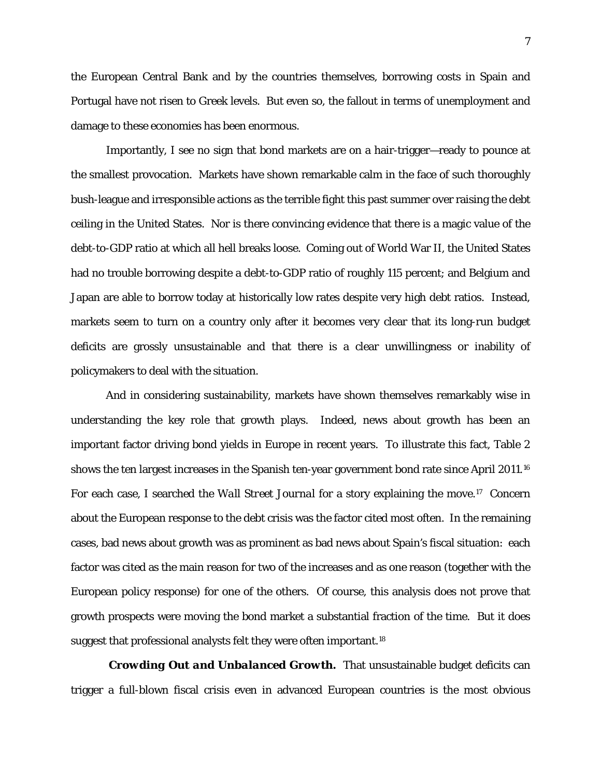the European Central Bank and by the countries themselves, borrowing costs in Spain and Portugal have not risen to Greek levels. But even so, the fallout in terms of unemployment and damage to these economies has been enormous.

Importantly, I see no sign that bond markets are on a hair-trigger—ready to pounce at the smallest provocation. Markets have shown remarkable calm in the face of such thoroughly bush-league and irresponsible actions as the terrible fight this past summer over raising the debt ceiling in the United States. Nor is there convincing evidence that there is a magic value of the debt-to-GDP ratio at which all hell breaks loose. Coming out of World War II, the United States had no trouble borrowing despite a debt-to-GDP ratio of roughly 115 percent; and Belgium and Japan are able to borrow today at historically low rates despite very high debt ratios. Instead, markets seem to turn on a country only after it becomes very clear that its long-run budget deficits are grossly unsustainable and that there is a clear unwillingness or inability of policymakers to deal with the situation.

And in considering sustainability, markets have shown themselves remarkably wise in understanding the key role that growth plays. Indeed, news about growth has been an important factor driving bond yields in Europe in recent years. To illustrate this fact, Table 2 shows the ten largest increases in the Spanish ten-year government bond rate since April 2011.<sup>[16](#page-27-15)</sup> For each case, I searched the *Wall Street Journal* for a story explaining the move.[17](#page-27-16) Concern about the European response to the debt crisis was the factor cited most often. In the remaining cases, bad news about growth was as prominent as bad news about Spain's fiscal situation: each factor was cited as the main reason for two of the increases and as one reason (together with the European policy response) for one of the others. Of course, this analysis does not prove that growth prospects were moving the bond market a substantial fraction of the time. But it does suggest that professional analysts felt they were often important.<sup>[18](#page-28-0)</sup>

*Crowding Out and Unbalanced Growth.* That unsustainable budget deficits can trigger a full-blown fiscal crisis even in advanced European countries is the most obvious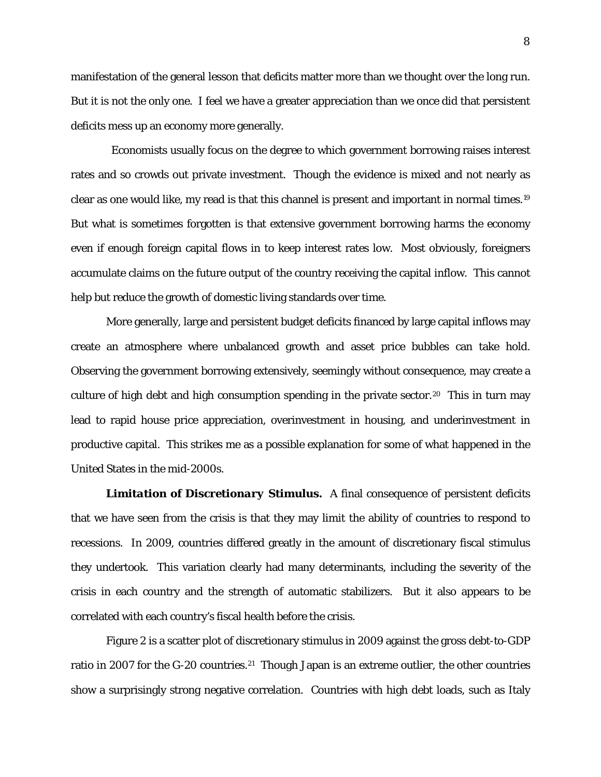manifestation of the general lesson that deficits matter more than we thought over the long run. But it is not the only one. I feel we have a greater appreciation than we once did that persistent deficits mess up an economy more generally.

 Economists usually focus on the degree to which government borrowing raises interest rates and so crowds out private investment. Though the evidence is mixed and not nearly as clear as one would like, my read is that this channel is present and important in normal times.[19](#page-28-1) But what is sometimes forgotten is that extensive government borrowing harms the economy even if enough foreign capital flows in to keep interest rates low. Most obviously, foreigners accumulate claims on the future output of the country receiving the capital inflow. This cannot help but reduce the growth of domestic living standards over time.

More generally, large and persistent budget deficits financed by large capital inflows may create an atmosphere where unbalanced growth and asset price bubbles can take hold. Observing the government borrowing extensively, seemingly without consequence, may create a culture of high debt and high consumption spending in the private sector. [20](#page-28-2) This in turn may lead to rapid house price appreciation, overinvestment in housing, and underinvestment in productive capital. This strikes me as a possible explanation for some of what happened in the United States in the mid-2000s.

*Limitation of Discretionary Stimulus.* A final consequence of persistent deficits that we have seen from the crisis is that they may limit the ability of countries to respond to recessions. In 2009, countries differed greatly in the amount of discretionary fiscal stimulus they undertook. This variation clearly had many determinants, including the severity of the crisis in each country and the strength of automatic stabilizers. But it also appears to be correlated with each country's fiscal health before the crisis.

Figure 2 is a scatter plot of discretionary stimulus in 2009 against the gross debt-to-GDP ratio in 2007 for the G-20 countries.<sup>21</sup> Though Japan is an extreme outlier, the other countries show a surprisingly strong negative correlation. Countries with high debt loads, such as Italy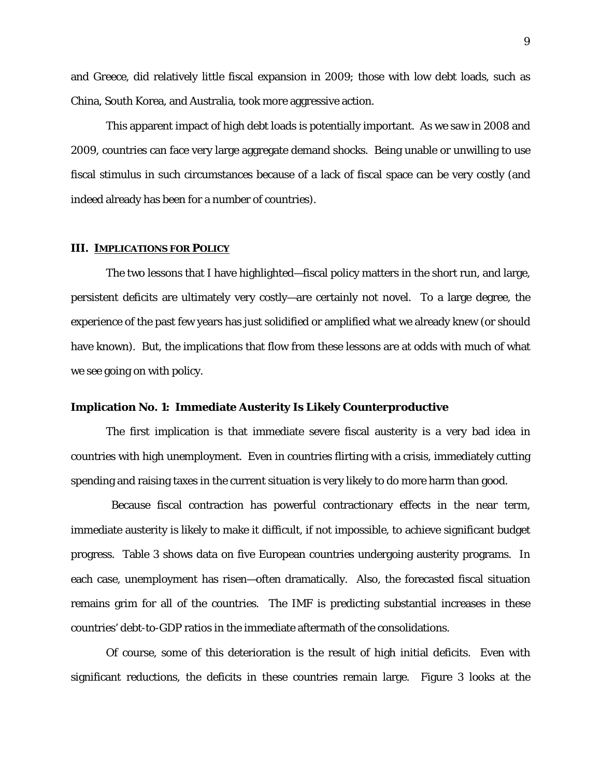and Greece, did relatively little fiscal expansion in 2009; those with low debt loads, such as China, South Korea, and Australia, took more aggressive action.

This apparent impact of high debt loads is potentially important. As we saw in 2008 and 2009, countries can face very large aggregate demand shocks. Being unable or unwilling to use fiscal stimulus in such circumstances because of a lack of fiscal space can be very costly (and indeed already has been for a number of countries).

#### **III. IMPLICATIONS FOR POLICY**

The two lessons that I have highlighted—fiscal policy matters in the short run, and large, persistent deficits are ultimately very costly—are certainly not novel. To a large degree, the experience of the past few years has just solidified or amplified what we already knew (or should have known). But, the implications that flow from these lessons are at odds with much of what we see going on with policy.

#### **Implication No. 1: Immediate Austerity Is Likely Counterproductive**

The first implication is that immediate severe fiscal austerity is a very bad idea in countries with high unemployment. Even in countries flirting with a crisis, immediately cutting spending and raising taxes in the current situation is very likely to do more harm than good.

Because fiscal contraction has powerful contractionary effects in the near term, immediate austerity is likely to make it difficult, if not impossible, to achieve significant budget progress. Table 3 shows data on five European countries undergoing austerity programs. In each case, unemployment has risen—often dramatically. Also, the forecasted fiscal situation remains grim for all of the countries. The IMF is predicting substantial increases in these countries' debt-to-GDP ratios in the immediate aftermath of the consolidations.

Of course, some of this deterioration is the result of high initial deficits. Even with significant reductions, the deficits in these countries remain large. Figure 3 looks at the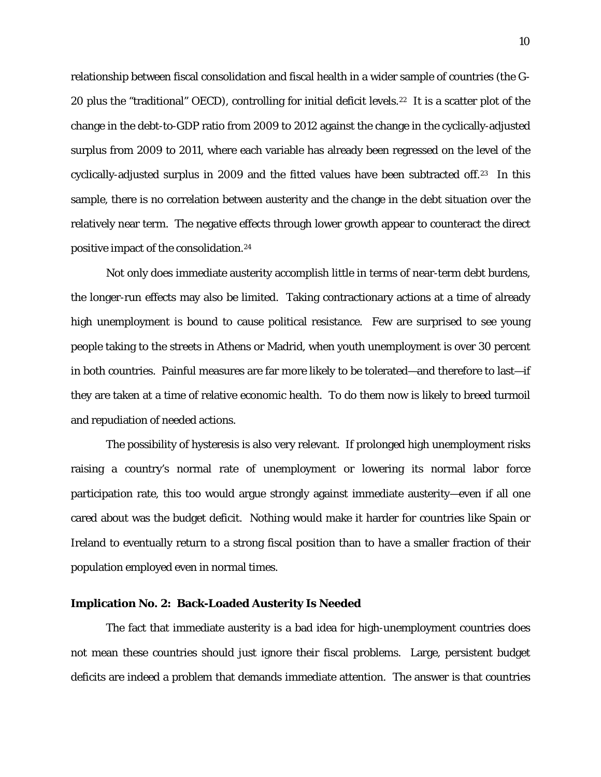relationship between fiscal consolidation and fiscal health in a wider sample of countries (the G-20 plus the "traditional" OECD), controlling for initial deficit levels.<sup>[22](#page-28-4)</sup> It is a scatter plot of the change in the debt-to-GDP ratio from 2009 to 2012 against the change in the cyclically-adjusted surplus from 2009 to 2011, where each variable has already been regressed on the level of the cyclically-adjusted surplus in 2009 and the fitted values have been subtracted off.[23](#page-28-5) In this sample, there is no correlation between austerity and the change in the debt situation over the relatively near term. The negative effects through lower growth appear to counteract the direct positive impact of the consolidation.[24](#page-28-6)

Not only does immediate austerity accomplish little in terms of near-term debt burdens, the longer-run effects may also be limited. Taking contractionary actions at a time of already high unemployment is bound to cause political resistance. Few are surprised to see young people taking to the streets in Athens or Madrid, when youth unemployment is over 30 percent in both countries. Painful measures are far more likely to be tolerated—and therefore to last—if they are taken at a time of relative economic health. To do them now is likely to breed turmoil and repudiation of needed actions.

The possibility of hysteresis is also very relevant. If prolonged high unemployment risks raising a country's normal rate of unemployment or lowering its normal labor force participation rate, this too would argue strongly against immediate austerity—even if all one cared about was the budget deficit. Nothing would make it harder for countries like Spain or Ireland to eventually return to a strong fiscal position than to have a smaller fraction of their population employed even in normal times.

### **Implication No. 2: Back-Loaded Austerity Is Needed**

The fact that immediate austerity is a bad idea for high-unemployment countries does not mean these countries should just ignore their fiscal problems. Large, persistent budget deficits are indeed a problem that demands immediate attention. The answer is that countries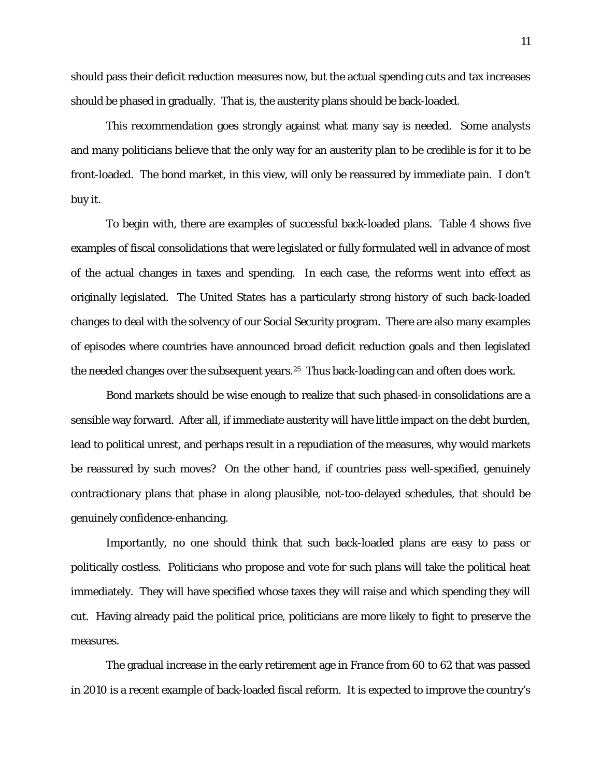should pass their deficit reduction measures now, but the actual spending cuts and tax increases should be phased in gradually. That is, the austerity plans should be back-loaded.

This recommendation goes strongly against what many say is needed. Some analysts and many politicians believe that the only way for an austerity plan to be credible is for it to be front-loaded. The bond market, in this view, will only be reassured by immediate pain. I don't buy it.

To begin with, there are examples of successful back-loaded plans. Table 4 shows five examples of fiscal consolidations that were legislated or fully formulated well in advance of most of the actual changes in taxes and spending. In each case, the reforms went into effect as originally legislated. The United States has a particularly strong history of such back-loaded changes to deal with the solvency of our Social Security program. There are also many examples of episodes where countries have announced broad deficit reduction goals and then legislated the needed changes over the subsequent years.<sup>[25](#page-28-7)</sup> Thus back-loading can and often does work.

Bond markets should be wise enough to realize that such phased-in consolidations are a sensible way forward. After all, if immediate austerity will have little impact on the debt burden, lead to political unrest, and perhaps result in a repudiation of the measures, why would markets be reassured by such moves? On the other hand, if countries pass well-specified, genuinely contractionary plans that phase in along plausible, not-too-delayed schedules, that should be genuinely confidence-enhancing.

Importantly, no one should think that such back-loaded plans are easy to pass or politically costless. Politicians who propose and vote for such plans will take the political heat immediately. They will have specified whose taxes they will raise and which spending they will cut. Having already paid the political price, politicians are more likely to fight to preserve the measures.

The gradual increase in the early retirement age in France from 60 to 62 that was passed in 2010 is a recent example of back-loaded fiscal reform. It is expected to improve the country's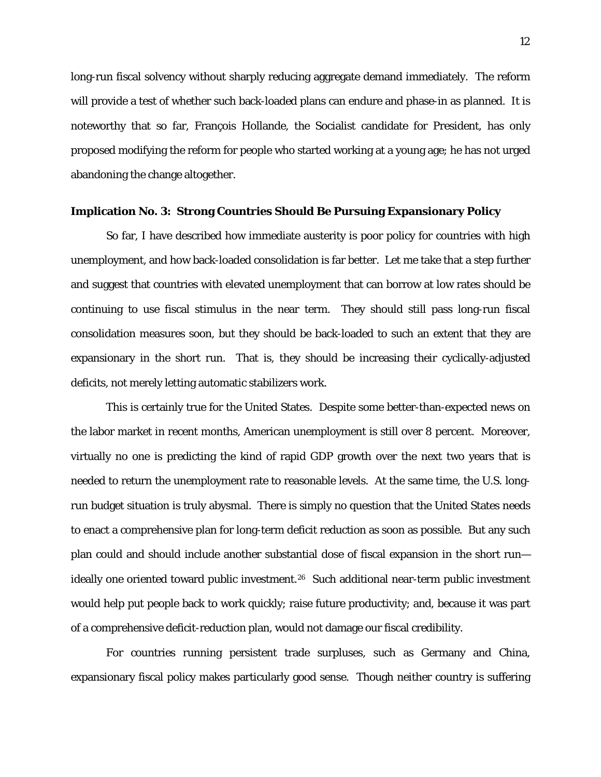long-run fiscal solvency without sharply reducing aggregate demand immediately. The reform will provide a test of whether such back-loaded plans can endure and phase-in as planned. It is noteworthy that so far, François Hollande, the Socialist candidate for President, has only proposed modifying the reform for people who started working at a young age; he has not urged abandoning the change altogether.

#### **Implication No. 3: Strong Countries Should Be Pursuing Expansionary Policy**

So far, I have described how immediate austerity is poor policy for countries with high unemployment, and how back-loaded consolidation is far better. Let me take that a step further and suggest that countries with elevated unemployment that can borrow at low rates should be continuing to use fiscal stimulus in the near term. They should still pass long-run fiscal consolidation measures soon, but they should be back-loaded to such an extent that they are expansionary in the short run. That is, they should be increasing their cyclically-adjusted deficits, not merely letting automatic stabilizers work.

This is certainly true for the United States. Despite some better-than-expected news on the labor market in recent months, American unemployment is still over 8 percent. Moreover, virtually no one is predicting the kind of rapid GDP growth over the next two years that is needed to return the unemployment rate to reasonable levels. At the same time, the U.S. longrun budget situation is truly abysmal. There is simply no question that the United States needs to enact a comprehensive plan for long-term deficit reduction as soon as possible. But any such plan could and should include another substantial dose of fiscal expansion in the short run— ideally one oriented toward public investment.<sup>[26](#page-28-8)</sup> Such additional near-term public investment would help put people back to work quickly; raise future productivity; and, because it was part of a comprehensive deficit-reduction plan, would not damage our fiscal credibility.

For countries running persistent trade surpluses, such as Germany and China, expansionary fiscal policy makes particularly good sense. Though neither country is suffering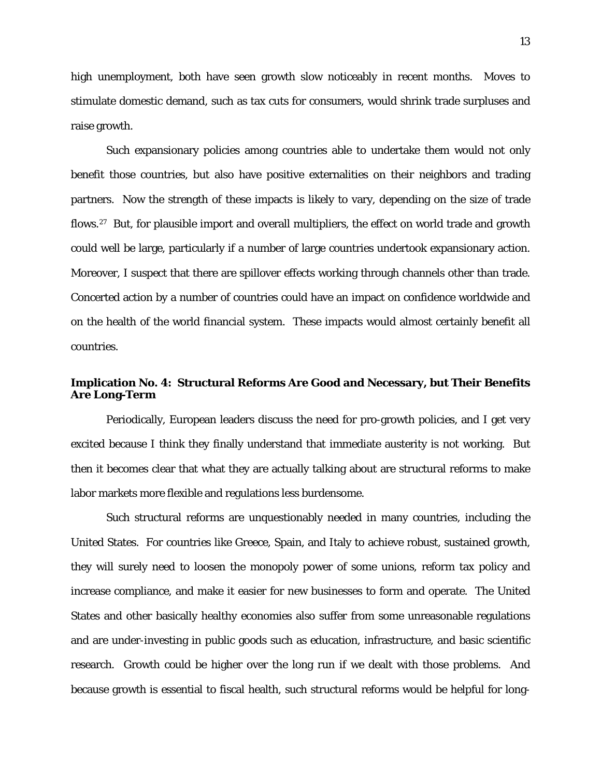high unemployment, both have seen growth slow noticeably in recent months. Moves to stimulate domestic demand, such as tax cuts for consumers, would shrink trade surpluses and raise growth.

Such expansionary policies among countries able to undertake them would not only benefit those countries, but also have positive externalities on their neighbors and trading partners. Now the strength of these impacts is likely to vary, depending on the size of trade flows.<sup>[27](#page-28-9)</sup> But, for plausible import and overall multipliers, the effect on world trade and growth could well be large, particularly if a number of large countries undertook expansionary action. Moreover, I suspect that there are spillover effects working through channels other than trade. Concerted action by a number of countries could have an impact on confidence worldwide and on the health of the world financial system. These impacts would almost certainly benefit all countries.

## **Implication No. 4: Structural Reforms Are Good and Necessary, but Their Benefits Are Long-Term**

Periodically, European leaders discuss the need for pro-growth policies, and I get very excited because I think they finally understand that immediate austerity is not working. But then it becomes clear that what they are actually talking about are structural reforms to make labor markets more flexible and regulations less burdensome.

Such structural reforms are unquestionably needed in many countries, including the United States. For countries like Greece, Spain, and Italy to achieve robust, sustained growth, they will surely need to loosen the monopoly power of some unions, reform tax policy and increase compliance, and make it easier for new businesses to form and operate. The United States and other basically healthy economies also suffer from some unreasonable regulations and are under-investing in public goods such as education, infrastructure, and basic scientific research. Growth could be higher over the long run if we dealt with those problems. And because growth is essential to fiscal health, such structural reforms would be helpful for long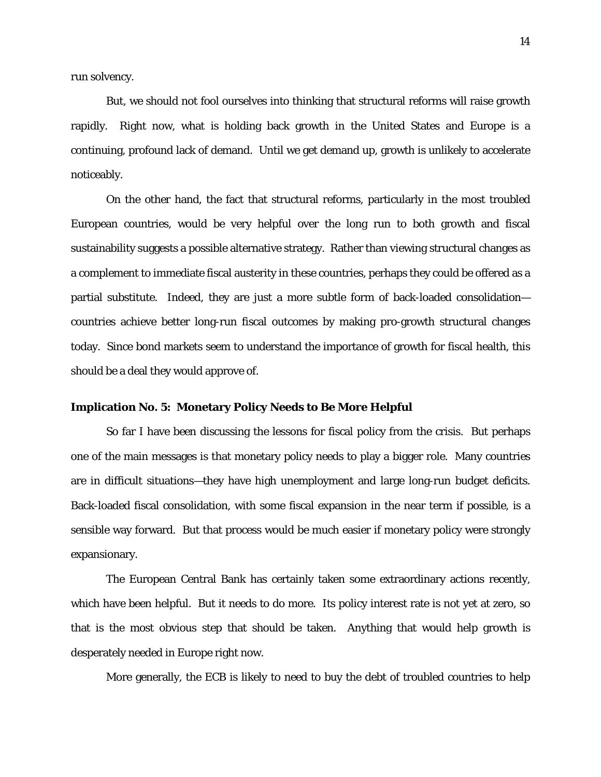run solvency.

But, we should not fool ourselves into thinking that structural reforms will raise growth rapidly. Right now, what is holding back growth in the United States and Europe is a continuing, profound lack of demand. Until we get demand up, growth is unlikely to accelerate noticeably.

On the other hand, the fact that structural reforms, particularly in the most troubled European countries, would be very helpful over the long run to both growth and fiscal sustainability suggests a possible alternative strategy. Rather than viewing structural changes as a complement to immediate fiscal austerity in these countries, perhaps they could be offered as a partial substitute. Indeed, they are just a more subtle form of back-loaded consolidation countries achieve better long-run fiscal outcomes by making pro-growth structural changes today. Since bond markets seem to understand the importance of growth for fiscal health, this should be a deal they would approve of.

## **Implication No. 5: Monetary Policy Needs to Be More Helpful**

So far I have been discussing the lessons for fiscal policy from the crisis. But perhaps one of the main messages is that monetary policy needs to play a bigger role. Many countries are in difficult situations—they have high unemployment and large long-run budget deficits. Back-loaded fiscal consolidation, with some fiscal expansion in the near term if possible, is a sensible way forward. But that process would be much easier if monetary policy were strongly expansionary.

The European Central Bank has certainly taken some extraordinary actions recently, which have been helpful. But it needs to do more. Its policy interest rate is not yet at zero, so that is the most obvious step that should be taken. Anything that would help growth is desperately needed in Europe right now.

More generally, the ECB is likely to need to buy the debt of troubled countries to help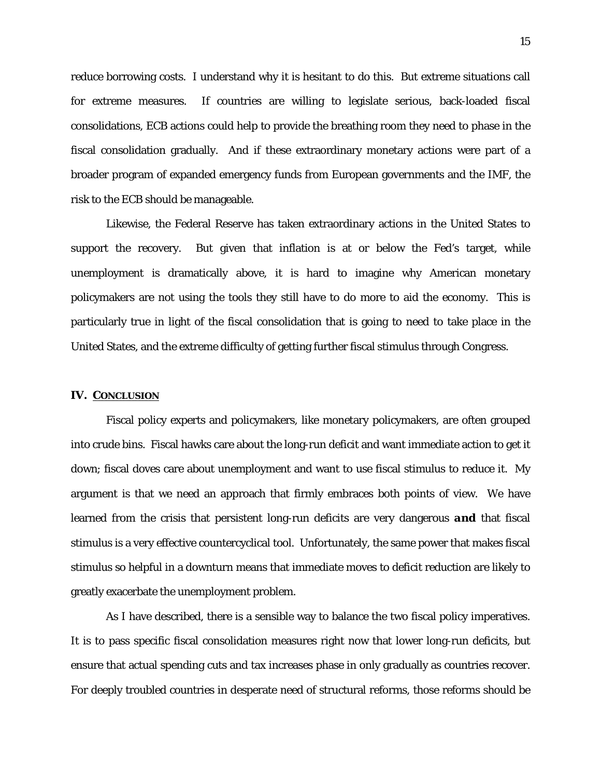reduce borrowing costs. I understand why it is hesitant to do this. But extreme situations call for extreme measures. If countries are willing to legislate serious, back-loaded fiscal consolidations, ECB actions could help to provide the breathing room they need to phase in the fiscal consolidation gradually. And if these extraordinary monetary actions were part of a broader program of expanded emergency funds from European governments and the IMF, the risk to the ECB should be manageable.

Likewise, the Federal Reserve has taken extraordinary actions in the United States to support the recovery. But given that inflation is at or below the Fed's target, while unemployment is dramatically above, it is hard to imagine why American monetary policymakers are not using the tools they still have to do more to aid the economy. This is particularly true in light of the fiscal consolidation that is going to need to take place in the United States, and the extreme difficulty of getting further fiscal stimulus through Congress.

#### **IV. CONCLUSION**

Fiscal policy experts and policymakers, like monetary policymakers, are often grouped into crude bins. Fiscal hawks care about the long-run deficit and want immediate action to get it down; fiscal doves care about unemployment and want to use fiscal stimulus to reduce it. My argument is that we need an approach that firmly embraces both points of view. We have learned from the crisis that persistent long-run deficits are very dangerous *and* that fiscal stimulus is a very effective countercyclical tool. Unfortunately, the same power that makes fiscal stimulus so helpful in a downturn means that immediate moves to deficit reduction are likely to greatly exacerbate the unemployment problem.

As I have described, there is a sensible way to balance the two fiscal policy imperatives. It is to pass specific fiscal consolidation measures right now that lower long-run deficits, but ensure that actual spending cuts and tax increases phase in only gradually as countries recover. For deeply troubled countries in desperate need of structural reforms, those reforms should be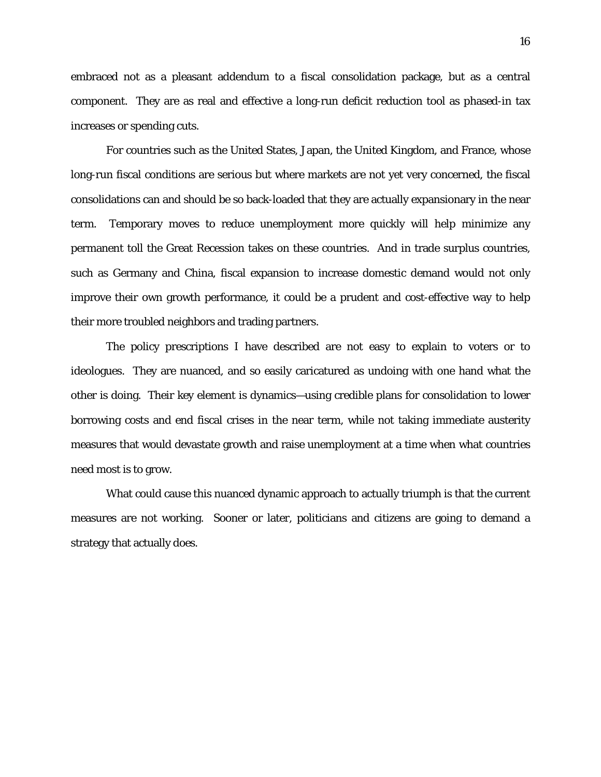embraced not as a pleasant addendum to a fiscal consolidation package, but as a central component. They are as real and effective a long-run deficit reduction tool as phased-in tax increases or spending cuts.

For countries such as the United States, Japan, the United Kingdom, and France, whose long-run fiscal conditions are serious but where markets are not yet very concerned, the fiscal consolidations can and should be so back-loaded that they are actually expansionary in the near term. Temporary moves to reduce unemployment more quickly will help minimize any permanent toll the Great Recession takes on these countries. And in trade surplus countries, such as Germany and China, fiscal expansion to increase domestic demand would not only improve their own growth performance, it could be a prudent and cost-effective way to help their more troubled neighbors and trading partners.

The policy prescriptions I have described are not easy to explain to voters or to ideologues. They are nuanced, and so easily caricatured as undoing with one hand what the other is doing. Their key element is dynamics—using credible plans for consolidation to lower borrowing costs and end fiscal crises in the near term, while not taking immediate austerity measures that would devastate growth and raise unemployment at a time when what countries need most is to grow.

What could cause this nuanced dynamic approach to actually triumph is that the current measures are not working. Sooner or later, politicians and citizens are going to demand a strategy that actually does.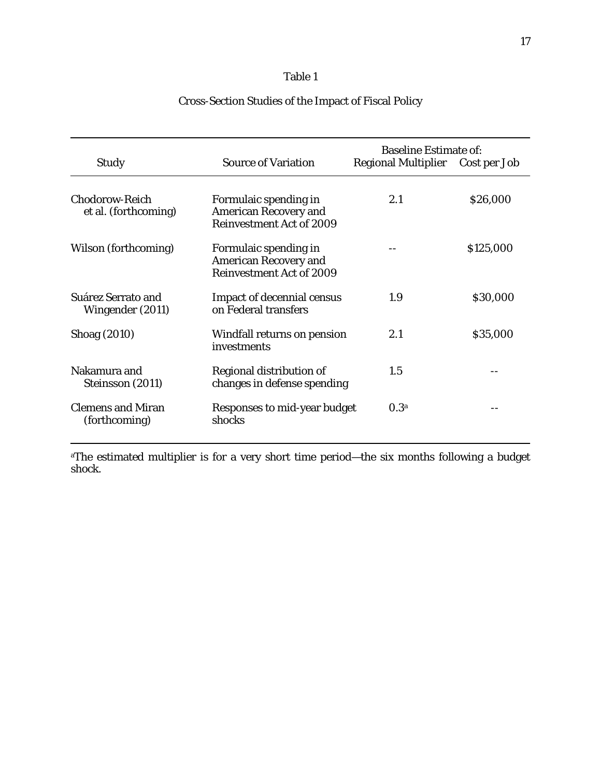| <b>Study</b>                                  | <b>Source of Variation</b>                                                               | <b>Baseline Estimate of:</b><br>Regional Multiplier Cost per Job |           |
|-----------------------------------------------|------------------------------------------------------------------------------------------|------------------------------------------------------------------|-----------|
| <b>Chodorow-Reich</b><br>et al. (forthcoming) | Formulaic spending in<br><b>American Recovery and</b><br><b>Reinvestment Act of 2009</b> | 2.1                                                              | \$26,000  |
| Wilson (forthcoming)                          | Formulaic spending in<br><b>American Recovery and</b><br><b>Reinvestment Act of 2009</b> |                                                                  | \$125,000 |
| Suárez Serrato and<br>Wingender (2011)        | <b>Impact of decennial census</b><br>on Federal transfers                                | 1.9                                                              | \$30,000  |
| Shoag (2010)                                  | Windfall returns on pension<br>investments                                               | 2.1                                                              | \$35,000  |
| Nakamura and<br>Steinsson (2011)              | Regional distribution of<br>changes in defense spending                                  | 1.5                                                              |           |
| <b>Clemens and Miran</b><br>(forthcoming)     | Responses to mid-year budget<br>shocks                                                   | 0.3 <sup>a</sup>                                                 |           |
|                                               |                                                                                          |                                                                  |           |

# Cross-Section Studies of the Impact of Fiscal Policy

aThe estimated multiplier is for a very short time period—the six months following a budget shock.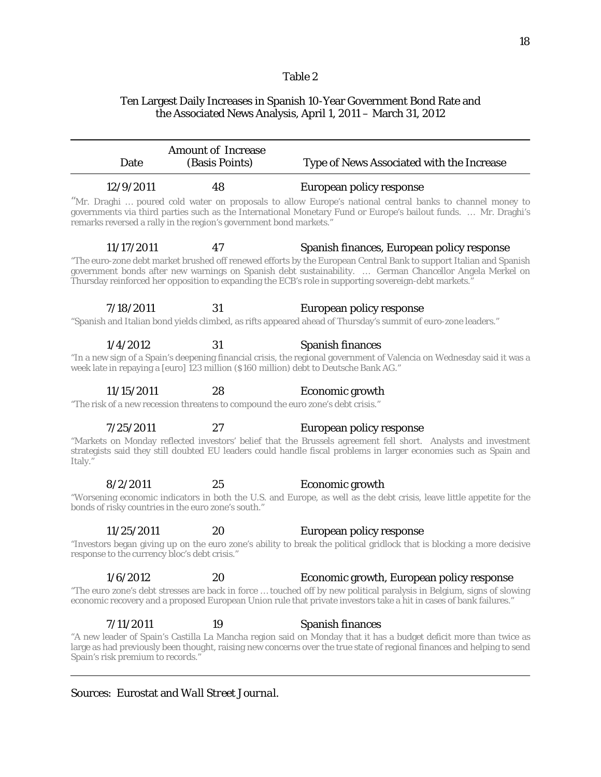## Ten Largest Daily Increases in Spanish 10-Year Government Bond Rate and the Associated News Analysis, April 1, 2011 – March 31, 2012

| Date                                                                                                                                                                                                                                        | <b>Amount of Increase</b><br>(Basis Points) | Type of News Associated with the Increase                                                                                                                                                                                                                                                                                                                                            |  |  |
|---------------------------------------------------------------------------------------------------------------------------------------------------------------------------------------------------------------------------------------------|---------------------------------------------|--------------------------------------------------------------------------------------------------------------------------------------------------------------------------------------------------------------------------------------------------------------------------------------------------------------------------------------------------------------------------------------|--|--|
| 12/9/2011                                                                                                                                                                                                                                   | 48                                          | European policy response                                                                                                                                                                                                                                                                                                                                                             |  |  |
| remarks reversed a rally in the region's government bond markets."                                                                                                                                                                          |                                             | "Mr. Draghi  poured cold water on proposals to allow Europe's national central banks to channel money to<br>governments via third parties such as the International Monetary Fund or Europe's bailout funds.  Mr. Draghi's                                                                                                                                                           |  |  |
| 11/17/2011                                                                                                                                                                                                                                  | 47                                          | Spanish finances, European policy response<br>"The euro-zone debt market brushed off renewed efforts by the European Central Bank to support Italian and Spanish<br>government bonds after new warnings on Spanish debt sustainability.  German Chancellor Angela Merkel on<br>Thursday reinforced her opposition to expanding the ECB's role in supporting sovereign-debt markets." |  |  |
| 7/18/2011                                                                                                                                                                                                                                   | 31                                          | European policy response                                                                                                                                                                                                                                                                                                                                                             |  |  |
|                                                                                                                                                                                                                                             |                                             | "Spanish and Italian bond yields climbed, as rifts appeared ahead of Thursday's summit of euro-zone leaders."                                                                                                                                                                                                                                                                        |  |  |
| 1/4/2012                                                                                                                                                                                                                                    | 31                                          | Spanish finances                                                                                                                                                                                                                                                                                                                                                                     |  |  |
| "In a new sign of a Spain's deepening financial crisis, the regional government of Valencia on Wednesday said it was a<br>week late in repaying a [euro] 123 million (\$160 million) debt to Deutsche Bank AG."                             |                                             |                                                                                                                                                                                                                                                                                                                                                                                      |  |  |
| 11/15/2011                                                                                                                                                                                                                                  | 28                                          | Economic growth                                                                                                                                                                                                                                                                                                                                                                      |  |  |
|                                                                                                                                                                                                                                             |                                             | "The risk of a new recession threatens to compound the euro zone's debt crisis."                                                                                                                                                                                                                                                                                                     |  |  |
| 7/25/2011<br>Italy."                                                                                                                                                                                                                        | 27                                          | European policy response<br>"Markets on Monday reflected investors' belief that the Brussels agreement fell short. Analysts and investment<br>strategists said they still doubted EU leaders could handle fiscal problems in larger economies such as Spain and                                                                                                                      |  |  |
| 8/2/2011                                                                                                                                                                                                                                    | 25                                          | Economic growth                                                                                                                                                                                                                                                                                                                                                                      |  |  |
| "Worsening economic indicators in both the U.S. and Europe, as well as the debt crisis, leave little appetite for the<br>bonds of risky countries in the euro zone's south."                                                                |                                             |                                                                                                                                                                                                                                                                                                                                                                                      |  |  |
| 11/25/2011                                                                                                                                                                                                                                  | 20                                          | European policy response                                                                                                                                                                                                                                                                                                                                                             |  |  |
| response to the currency bloc's debt crisis."                                                                                                                                                                                               |                                             | "Investors began giving up on the euro zone's ability to break the political gridlock that is blocking a more decisive                                                                                                                                                                                                                                                               |  |  |
| 1/6/2012                                                                                                                                                                                                                                    | 20                                          | Economic growth, European policy response                                                                                                                                                                                                                                                                                                                                            |  |  |
| "The euro zone's debt stresses are back in force  touched off by new political paralysis in Belgium, signs of slowing<br>economic recovery and a proposed European Union rule that private investors take a hit in cases of bank failures." |                                             |                                                                                                                                                                                                                                                                                                                                                                                      |  |  |
| 7/11/2011                                                                                                                                                                                                                                   | 19                                          | <b>Spanish finances</b>                                                                                                                                                                                                                                                                                                                                                              |  |  |
| Spain's risk premium to records."                                                                                                                                                                                                           |                                             | "A new leader of Spain's Castilla La Mancha region said on Monday that it has a budget deficit more than twice as<br>large as had previously been thought, raising new concerns over the true state of regional finances and helping to send                                                                                                                                         |  |  |

## Sources: Eurostat and *Wall Street Journal*.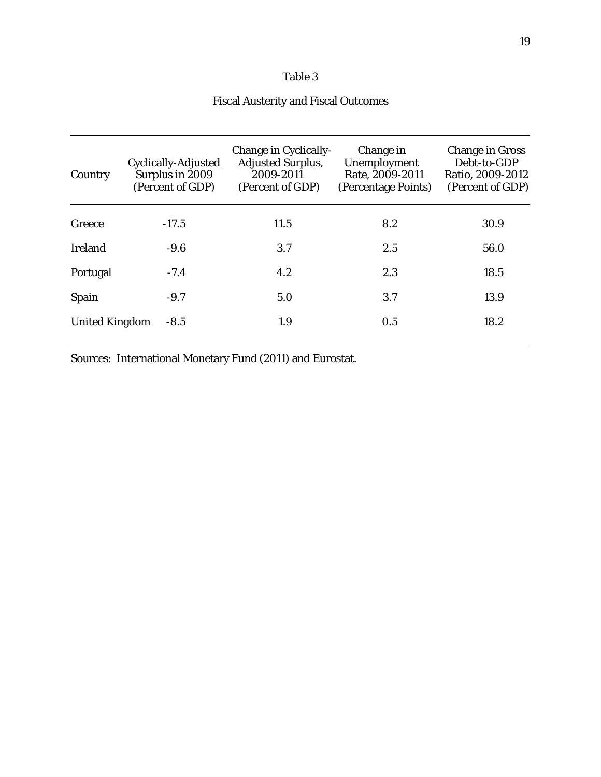## Fiscal Austerity and Fiscal Outcomes

| Country               | Cyclically-Adjusted<br>Surplus in 2009<br>(Percent of GDP) | Change in Cyclically-<br><b>Adjusted Surplus,</b><br>2009-2011<br>(Percent of GDP) | Change in<br>Unemployment<br>Rate, 2009-2011<br>(Percentage Points) | <b>Change in Gross</b><br>Debt-to-GDP<br>Ratio, 2009-2012<br>(Percent of GDP) |
|-----------------------|------------------------------------------------------------|------------------------------------------------------------------------------------|---------------------------------------------------------------------|-------------------------------------------------------------------------------|
| Greece                | $-17.5$                                                    | 11.5                                                                               | 8.2                                                                 | 30.9                                                                          |
| <b>Ireland</b>        | $-9.6$                                                     | 3.7                                                                                | 2.5                                                                 | 56.0                                                                          |
| Portugal              | $-7.4$                                                     | 4.2                                                                                | 2.3                                                                 | 18.5                                                                          |
| Spain                 | $-9.7$                                                     | 5.0                                                                                | 3.7                                                                 | 13.9                                                                          |
| <b>United Kingdom</b> | $-8.5$                                                     | 1.9                                                                                | 0.5                                                                 | 18.2                                                                          |

Sources: International Monetary Fund (2011) and Eurostat.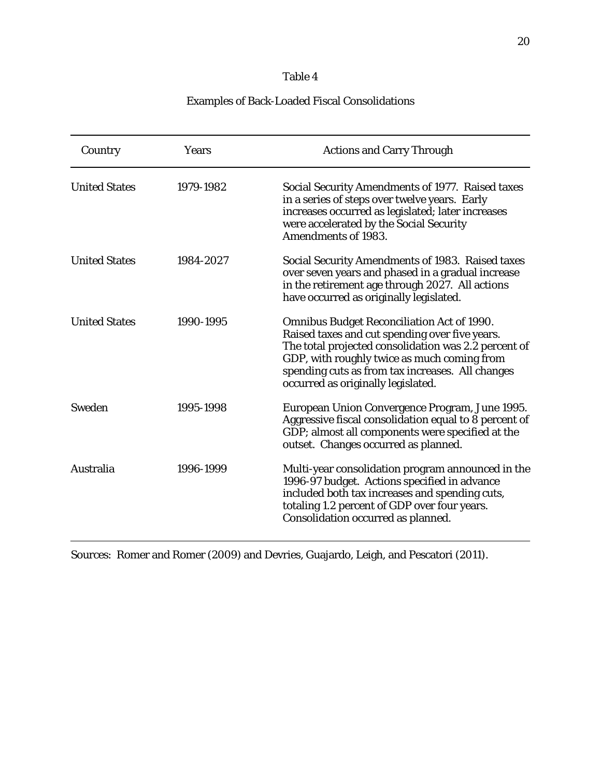## Examples of Back-Loaded Fiscal Consolidations

| Country              | Years     | <b>Actions and Carry Through</b>                                                                                                                                                                                                                                                                     |
|----------------------|-----------|------------------------------------------------------------------------------------------------------------------------------------------------------------------------------------------------------------------------------------------------------------------------------------------------------|
| <b>United States</b> | 1979-1982 | Social Security Amendments of 1977. Raised taxes<br>in a series of steps over twelve years. Early<br>increases occurred as legislated; later increases<br>were accelerated by the Social Security<br><b>Amendments of 1983.</b>                                                                      |
| <b>United States</b> | 1984-2027 | Social Security Amendments of 1983. Raised taxes<br>over seven years and phased in a gradual increase<br>in the retirement age through 2027. All actions<br>have occurred as originally legislated.                                                                                                  |
| <b>United States</b> | 1990-1995 | <b>Omnibus Budget Reconciliation Act of 1990.</b><br>Raised taxes and cut spending over five years.<br>The total projected consolidation was 2.2 percent of<br>GDP, with roughly twice as much coming from<br>spending cuts as from tax increases. All changes<br>occurred as originally legislated. |
| Sweden               | 1995-1998 | European Union Convergence Program, June 1995.<br>Aggressive fiscal consolidation equal to 8 percent of<br>GDP; almost all components were specified at the<br>outset. Changes occurred as planned.                                                                                                  |
| Australia            | 1996-1999 | Multi-year consolidation program announced in the<br>1996-97 budget. Actions specified in advance<br>included both tax increases and spending cuts,<br>totaling 1.2 percent of GDP over four years.<br>Consolidation occurred as planned.                                                            |

Sources: Romer and Romer (2009) and Devries, Guajardo, Leigh, and Pescatori (2011).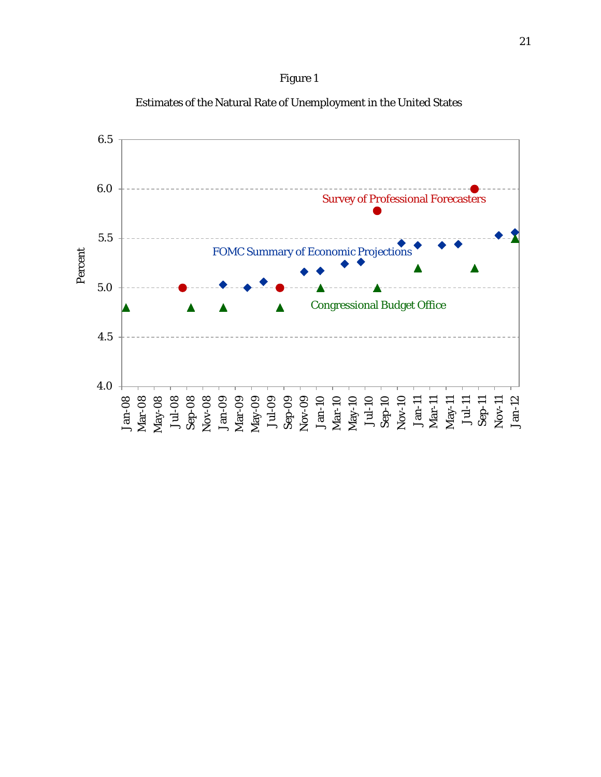



Estimates of the Natural Rate of Unemployment in the United States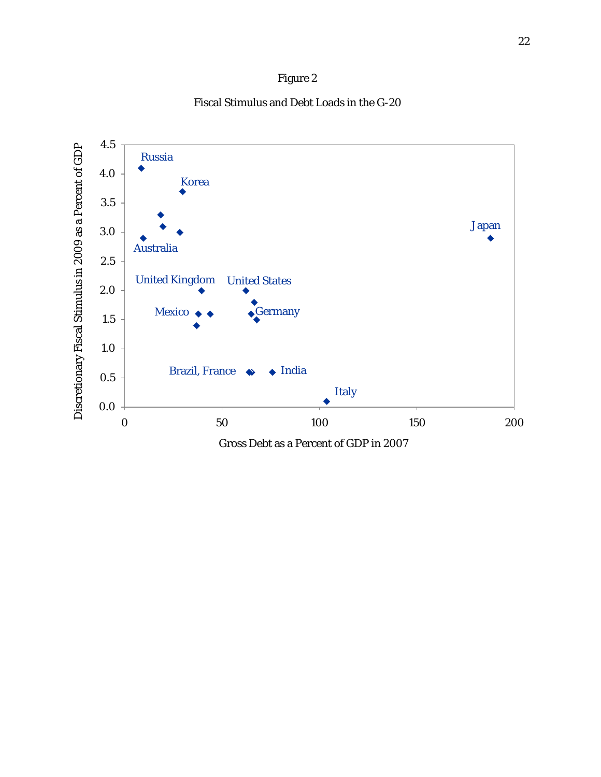# Figure 2

Fiscal Stimulus and Debt Loads in the G-20

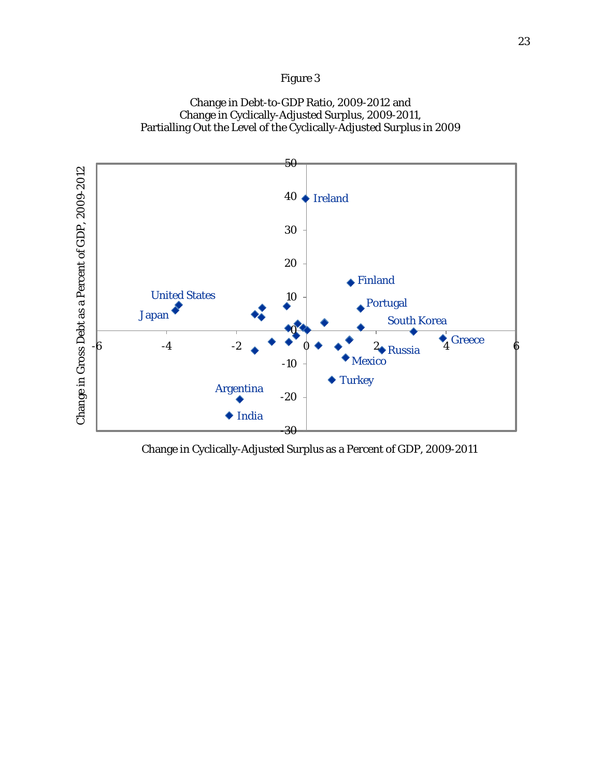## Figure 3

## Change in Debt-to-GDP Ratio, 2009-2012 and Change in Cyclically-Adjusted Surplus, 2009-2011, Partialling Out the Level of the Cyclically-Adjusted Surplus in 2009



Change in Cyclically-Adjusted Surplus as a Percent of GDP, 2009-2011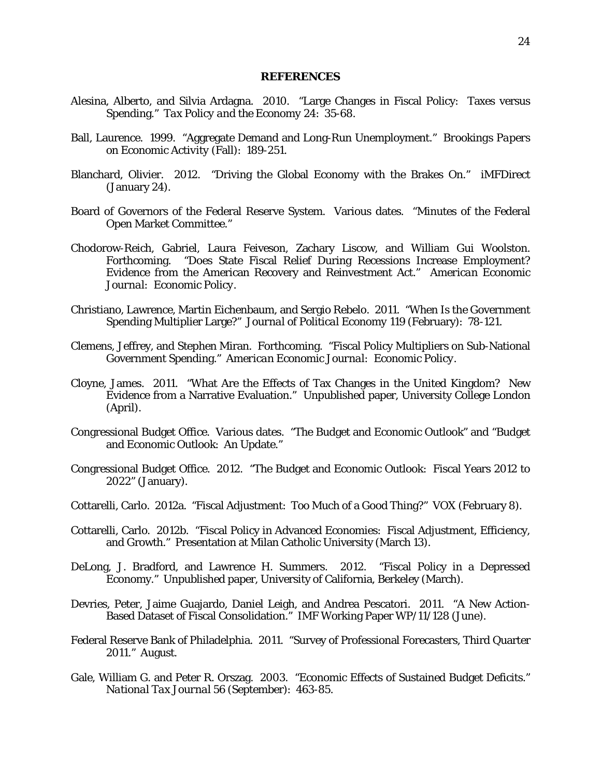### **REFERENCES**

- Alesina, Alberto, and Silvia Ardagna. 2010. "Large Changes in Fiscal Policy: Taxes versus Spending." *Tax Policy and the Economy* 24: 35-68.
- Ball, Laurence. 1999. "Aggregate Demand and Long-Run Unemployment." *Brookings Papers on Economic Activity* (Fall): 189-251.
- Blanchard, Olivier. 2012. "Driving the Global Economy with the Brakes On." iMFDirect (January 24).
- Board of Governors of the Federal Reserve System. Various dates. "Minutes of the Federal Open Market Committee."
- Chodorow-Reich, Gabriel, Laura Feiveson, Zachary Liscow, and William Gui Woolston. Forthcoming. "Does State Fiscal Relief During Recessions Increase Employment? Evidence from the American Recovery and Reinvestment Act." *American Economic Journal: Economic Policy*.
- Christiano, Lawrence, Martin Eichenbaum, and Sergio Rebelo. 2011. "When Is the Government Spending Multiplier Large?" *Journal of Political Economy* 119 (February): 78-121.
- Clemens, Jeffrey, and Stephen Miran. Forthcoming. "Fiscal Policy Multipliers on Sub-National Government Spending." *American Economic Journal: Economic Policy*.
- Cloyne, James. 2011. "What Are the Effects of Tax Changes in the United Kingdom? New Evidence from a Narrative Evaluation." Unpublished paper, University College London (April).
- Congressional Budget Office. Various dates. "The Budget and Economic Outlook" and "Budget and Economic Outlook: An Update."
- Congressional Budget Office. 2012. "The Budget and Economic Outlook: Fiscal Years 2012 to 2022" (January).
- Cottarelli, Carlo. 2012a. "Fiscal Adjustment: Too Much of a Good Thing?" VOX (February 8).
- Cottarelli, Carlo. 2012b. "Fiscal Policy in Advanced Economies: Fiscal Adjustment, Efficiency, and Growth." Presentation at Milan Catholic University (March 13).
- DeLong, J. Bradford, and Lawrence H. Summers. 2012. "Fiscal Policy in a Depressed Economy." Unpublished paper, University of California, Berkeley (March).
- Devries, Peter, Jaime Guajardo, Daniel Leigh, and Andrea Pescatori. 2011. "A New Action-Based Dataset of Fiscal Consolidation." IMF Working Paper WP/11/128 (June).
- Federal Reserve Bank of Philadelphia. 2011. "Survey of Professional Forecasters, Third Quarter 2011." August.
- Gale, William G. and Peter R. Orszag. 2003. "Economic Effects of Sustained Budget Deficits." *National Tax Journal* 56 (September): 463-85.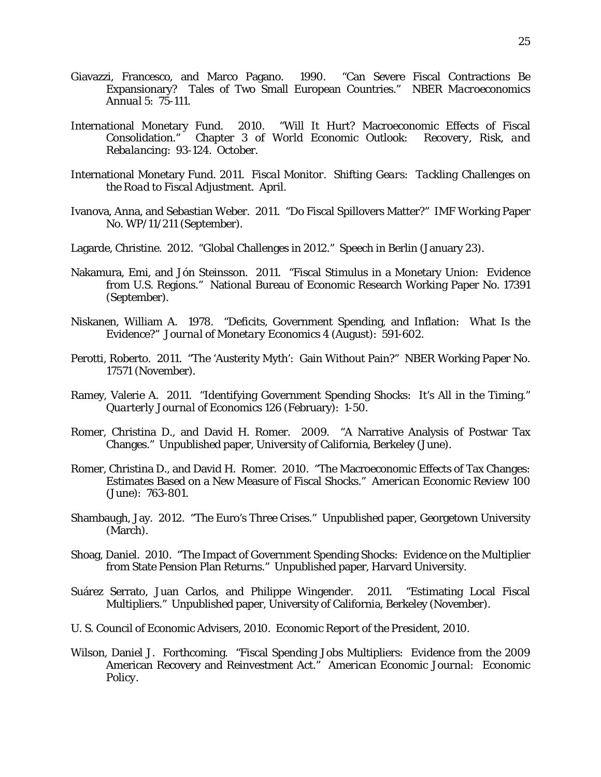- Giavazzi, Francesco, and Marco Pagano. 1990. "Can Severe Fiscal Contractions Be Expansionary? Tales of Two Small European Countries." *NBER Macroeconomics Annual* 5: 75-111.
- International Monetary Fund. 2010. "Will It Hurt? Macroeconomic Effects of Fiscal Consolidation." Chapter 3 of *World Economic Outlook: Recovery, Risk, and Rebalancing*: 93-124. October.
- International Monetary Fund. 2011. *Fiscal Monitor. Shifting Gears: Tackling Challenges on the Road to Fiscal Adjustment*. April.
- Ivanova, Anna, and Sebastian Weber. 2011. "Do Fiscal Spillovers Matter?" IMF Working Paper No. WP/11/211 (September).
- Lagarde, Christine. 2012. "Global Challenges in 2012." Speech in Berlin (January 23).
- Nakamura, Emi, and Jón Steinsson. 2011. "Fiscal Stimulus in a Monetary Union: Evidence from U.S. Regions." National Bureau of Economic Research Working Paper No. 17391 (September).
- Niskanen, William A. 1978. "Deficits, Government Spending, and Inflation: What Is the Evidence?" *Journal of Monetary Economics* 4 (August): 591-602.
- Perotti, Roberto. 2011. "The 'Austerity Myth': Gain Without Pain?" NBER Working Paper No. 17571 (November).
- Ramey, Valerie A. 2011. "Identifying Government Spending Shocks: It's All in the Timing." *Quarterly Journal of Economics* 126 (February): 1-50.
- Romer, Christina D., and David H. Romer. 2009. "A Narrative Analysis of Postwar Tax Changes." Unpublished paper, University of California, Berkeley (June).
- Romer, Christina D., and David H. Romer. 2010. "The Macroeconomic Effects of Tax Changes: Estimates Based on a New Measure of Fiscal Shocks." *American Economic Review* 100 (June): 763-801.
- Shambaugh, Jay. 2012. "The Euro's Three Crises." Unpublished paper, Georgetown University (March).
- Shoag, Daniel. 2010. "The Impact of Government Spending Shocks: Evidence on the Multiplier from State Pension Plan Returns." Unpublished paper, Harvard University.
- Suárez Serrato, Juan Carlos, and Philippe Wingender. 2011. "Estimating Local Fiscal Multipliers." Unpublished paper, University of California, Berkeley (November).
- U. S. Council of Economic Advisers, 2010. *Economic Report of the President, 2010*.
- Wilson, Daniel J. Forthcoming. "Fiscal Spending Jobs Multipliers: Evidence from the 2009 American Recovery and Reinvestment Act." *American Economic Journal: Economic Policy*.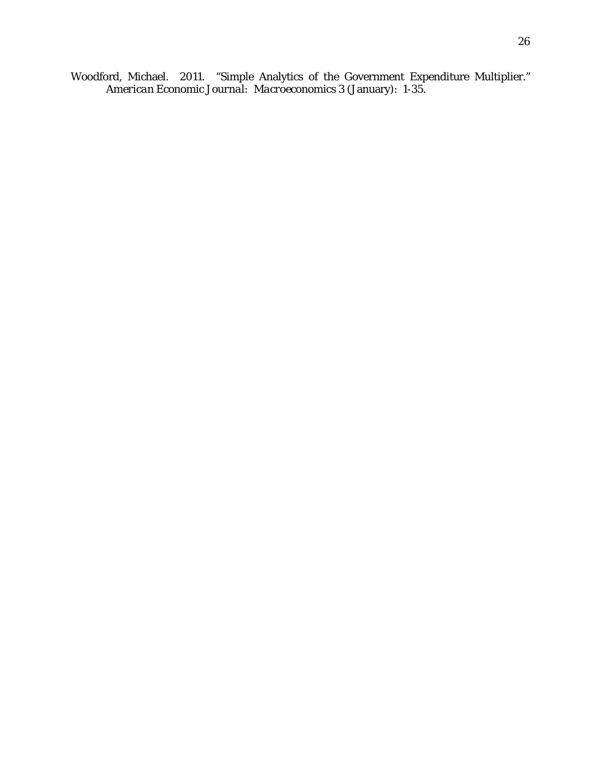Woodford, Michael. 2011. "Simple Analytics of the Government Expenditure Multiplier." *American Economic Journal: Macroeconomics* 3 (January): 1-35.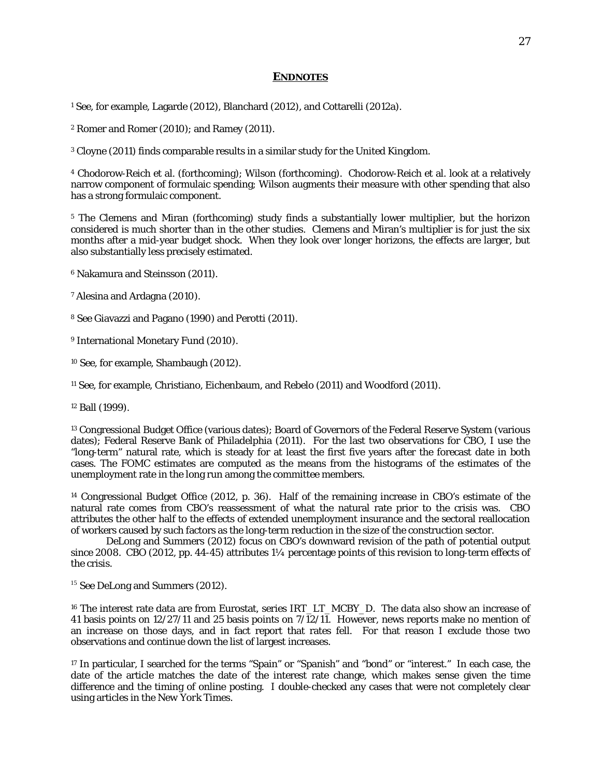#### **ENDNOTES**

<span id="page-27-0"></span><sup>1</sup> See, for example, Lagarde (2012), Blanchard (2012), and Cottarelli (2012a).

<span id="page-27-1"></span><sup>2</sup> Romer and Romer (2010); and Ramey (2011).

<span id="page-27-2"></span><sup>3</sup> Cloyne (2011) finds comparable results in a similar study for the United Kingdom.

<span id="page-27-3"></span><sup>4</sup> Chodorow-Reich et al. (forthcoming); Wilson (forthcoming). Chodorow-Reich et al. look at a relatively narrow component of formulaic spending; Wilson augments their measure with other spending that also has a strong formulaic component.

<span id="page-27-4"></span><sup>5</sup> The Clemens and Miran (forthcoming) study finds a substantially lower multiplier, but the horizon considered is much shorter than in the other studies. Clemens and Miran's multiplier is for just the six months after a mid-year budget shock. When they look over longer horizons, the effects are larger, but also substantially less precisely estimated.

<span id="page-27-5"></span><sup>6</sup> Nakamura and Steinsson (2011).

<span id="page-27-6"></span><sup>7</sup> Alesina and Ardagna (2010).

<span id="page-27-7"></span><sup>8</sup> See Giavazzi and Pagano (1990) and Perotti (2011).

<span id="page-27-8"></span><sup>9</sup> International Monetary Fund (2010).

<span id="page-27-9"></span><sup>10</sup> See, for example, Shambaugh (2012).

<span id="page-27-10"></span><sup>11</sup> See, for example, Christiano, Eichenbaum, and Rebelo (2011) and Woodford (2011).

<span id="page-27-11"></span><sup>12</sup> Ball (1999).

<span id="page-27-12"></span><sup>13</sup> Congressional Budget Office (various dates); Board of Governors of the Federal Reserve System (various dates); Federal Reserve Bank of Philadelphia (2011). For the last two observations for CBO, I use the "long-term" natural rate, which is steady for at least the first five years after the forecast date in both cases. The FOMC estimates are computed as the means from the histograms of the estimates of the unemployment rate in the long run among the committee members.

<span id="page-27-13"></span><sup>14</sup> Congressional Budget Office (2012, p. 36). Half of the remaining increase in CBO's estimate of the natural rate comes from CBO's reassessment of what the natural rate prior to the crisis was. CBO attributes the other half to the effects of extended unemployment insurance and the sectoral reallocation of workers caused by such factors as the long-term reduction in the size of the construction sector.

DeLong and Summers (2012) focus on CBO's downward revision of the path of potential output since 2008. CBO (2012, pp. 44-45) attributes  $1/4$  percentage points of this revision to long-term effects of the crisis.

<span id="page-27-14"></span><sup>15</sup> See DeLong and Summers (2012).

<span id="page-27-15"></span><sup>16</sup> The interest rate data are from Eurostat, series IRT\_LT\_MCBY\_D. The data also show an increase of 41 basis points on 12/27/11 and 25 basis points on 7/12/11. However, news reports make no mention of an increase on those days, and in fact report that rates fell. For that reason I exclude those two observations and continue down the list of largest increases.

<span id="page-27-16"></span><sup>17</sup> In particular, I searched for the terms "Spain" or "Spanish" and "bond" or "interest." In each case, the date of the article matches the date of the interest rate change, which makes sense given the time difference and the timing of online posting. I double-checked any cases that were not completely clear using articles in the *New York Times*.